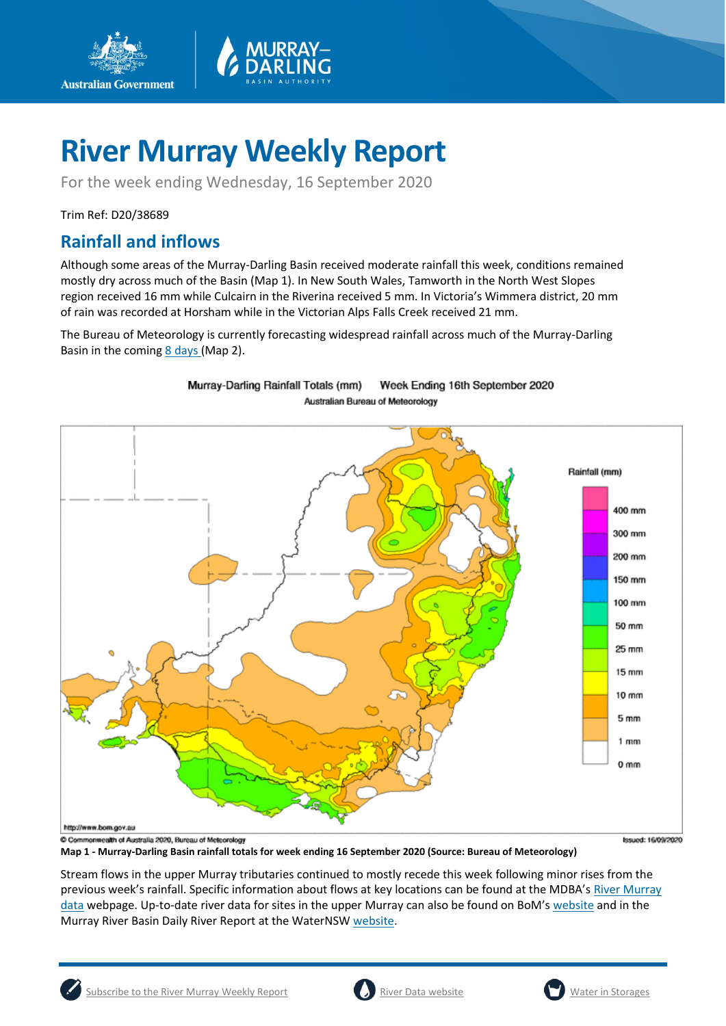

For the week ending Wednesday, 16 September 2020

Trim Ref: D20/38689

**Australian Government** 

## **Rainfall and inflows**

Although some areas of the Murray-Darling Basin received moderate rainfall this week, conditions remained mostly dry across much of the Basin (Map 1). In New South Wales, Tamworth in the North West Slopes region received 16 mm while Culcairn in the Riverina received 5 mm. In Victoria's Wimmera district, 20 mm of rain was recorded at Horsham while in the Victorian Alps Falls Creek received 21 mm.

The Bureau of Meteorology is currently forecasting widespread rainfall across much of the Murray-Darling Basin in the coming  $8$  days (Map 2).



Murray-Darling Rainfall Totals (mm) Week Ending 16th September 2020 **Australian Bureau of Meteorology** 

**Map 1 - Murray-Darling Basin rainfall totals for week ending 16 September 2020 (Source: Bureau of Meteorology)** 

**Issued: 16/09/2020** 

Stream flows in the upper Murray tributaries continued to mostly recede this week following minor rises from the previous week's rainfall. Specific information about flows at key locations can be found at the MDBA's [River Murray](https://riverdata.mdba.gov.au/system-view)  [data](https://riverdata.mdba.gov.au/system-view) webpage. Up-to-date river data for sites in the upper Murray can also be found on BoM's [website](http://www.bom.gov.au/cgi-bin/wrap_fwo.pl?IDV60151.html) and in the Murray River Basin Daily River Report at the WaterNS[W website.](https://realtimedata.waternsw.com.au/water.stm)



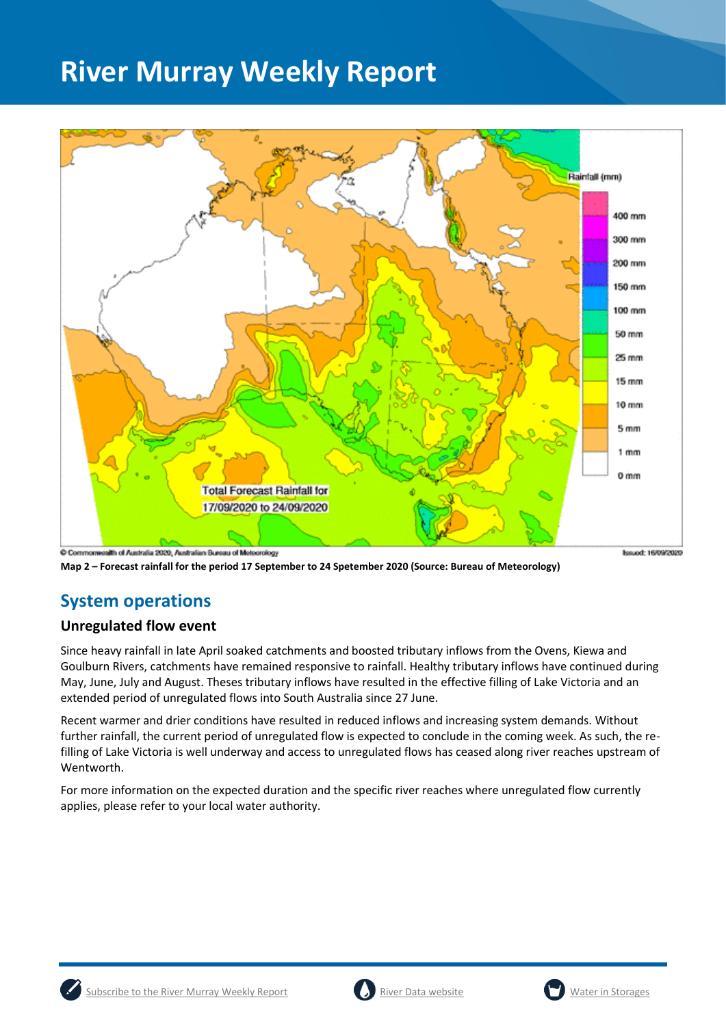

**Map 2 – Forecast rainfall for the period 17 September to 24 Spetember 2020 (Source: Bureau of Meteorology)** 

## **System operations**

### **Unregulated flow event**

Since heavy rainfall in late April soaked catchments and boosted tributary inflows from the Ovens, Kiewa and Goulburn Rivers, catchments have remained responsive to rainfall. Healthy tributary inflows have continued during May, June, July and August. Theses tributary inflows have resulted in the effective filling of Lake Victoria and an extended period of unregulated flows into South Australia since 27 June.

Recent warmer and drier conditions have resulted in reduced inflows and increasing system demands. Without further rainfall, the current period of unregulated flow is expected to conclude in the coming week. As such, the refilling of Lake Victoria is well underway and access to unregulated flows has ceased along river reaches upstream of Wentworth.

For more information on the expected duration and the specific river reaches where unregulated flow currently applies, please refer to your local water authority.





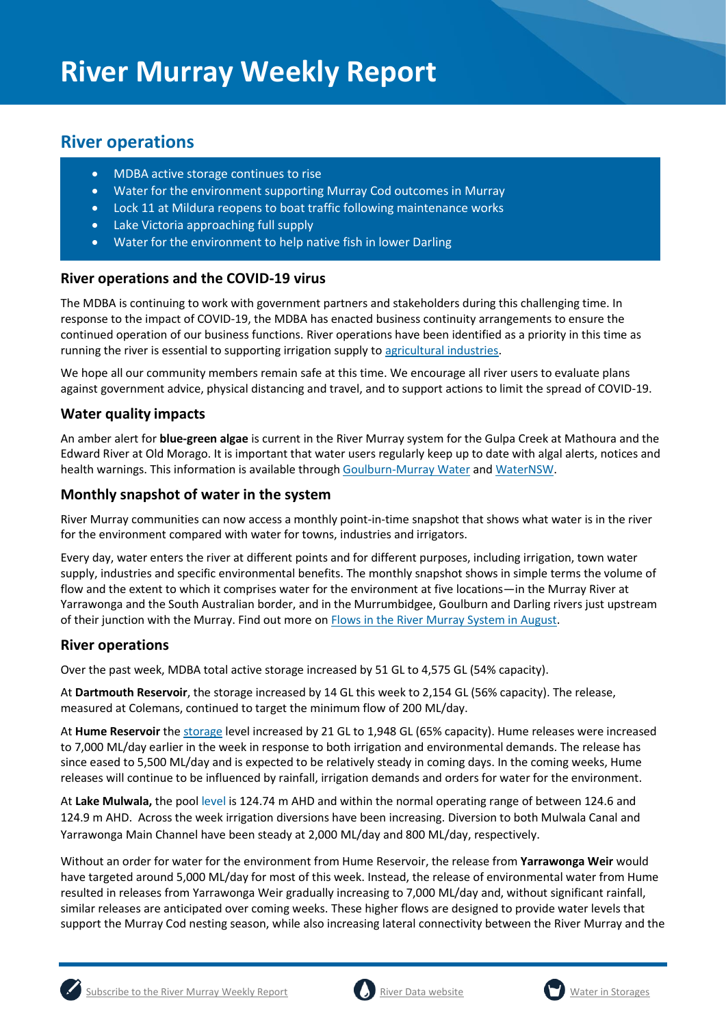## **River operations**

- MDBA active storage continues to rise
- Water for the environment supporting Murray Cod outcomes in Murray
- Lock 11 at Mildura reopens to boat traffic following maintenance works
- Lake Victoria approaching full supply
- Water for the environment to help native fish in lower Darling

#### **River operations and the COVID-19 virus**

The MDBA is continuing to work with government partners and stakeholders during this challenging time. In response to the impact of COVID-19, the MDBA has enacted business continuity arrangements to ensure the continued operation of our business functions. River operations have been identified as a priority in this time as running the river is essential to supporting irrigation supply t[o agricultural industries.](https://www.agriculture.gov.au/biosecurity/coronavirus/food-agriculture)

We hope all our community members remain safe at this time. We encourage all river users to evaluate plans against government advice, physical distancing and travel, and to support actions to limit the spread of COVID-19.

### **Water quality impacts**

An amber alert for **blue-green algae** is current in the River Murray system for the Gulpa Creek at Mathoura and the Edward River at Old Morago. It is important that water users regularly keep up to date with algal alerts, notices and health warnings. This information is available throug[h Goulburn-Murray Water](https://www.g-mwater.com.au/news/bga) an[d WaterNSW.](https://www.waternsw.com.au/water-quality/algae)

#### **Monthly snapshot of water in the system**

River Murray communities can now access a monthly point-in-time snapshot that shows what water is in the river for the environment compared with water for towns, industries and irrigators.

Every day, water enters the river at different points and for different purposes, including irrigation, town water supply, industries and specific environmental benefits. The monthly snapshot shows in simple terms the volume of flow and the extent to which it comprises water for the environment at five locations—in the Murray River at Yarrawonga and the South Australian border, and in the Murrumbidgee, Goulburn and Darling rivers just upstream of their junction with the Murray. Find out more o[n Flows in the River Murray System in August.](https://www.mdba.gov.au/river-murray-system/river-murray-operations/sharing-river-murray-water/flows-river-murray-system)

#### **River operations**

Over the past week, MDBA total active storage increased by 51 GL to 4,575 GL (54% capacity).

At **Dartmouth Reservoir**, the storage increased by 14 GL this week to 2,154 GL (56% capacity). The release, measured at Colemans, continued to target the minimum flow of 200 ML/day.

At **Hume Reservoir** th[e storage](https://riverdata.mdba.gov.au/hume-dam) level increased by 21 GL to 1,948 GL (65% capacity). Hume releases were increased to 7,000 ML/day earlier in the week in response to both irrigation and environmental demands. The release has since eased to 5,500 ML/day and is expected to be relatively steady in coming days. In the coming weeks, Hume releases will continue to be influenced by rainfall, irrigation demands and orders for water for the environment.

At **Lake Mulwala,** the pool level is 124.74 m AHD and within the normal operating range of between 124.6 and 124.9 m AHD. Across the week irrigation diversions have been increasing. Diversion to both Mulwala Canal and Yarrawonga Main Channel have been steady at 2,000 ML/day and 800 ML/day, respectively.

Without an order for water for the environment from Hume Reservoir, the release from **Yarrawonga Weir** would have targeted around 5,000 ML/day for most of this week. Instead, the release of environmental water from Hume resulted in releases from Yarrawonga Weir gradually increasing to 7,000 ML/day and, without significant rainfall, similar releases are anticipated over coming weeks. These higher flows are designed to provide water levels that support the Murray Cod nesting season, while also increasing lateral connectivity between the River Murray and the





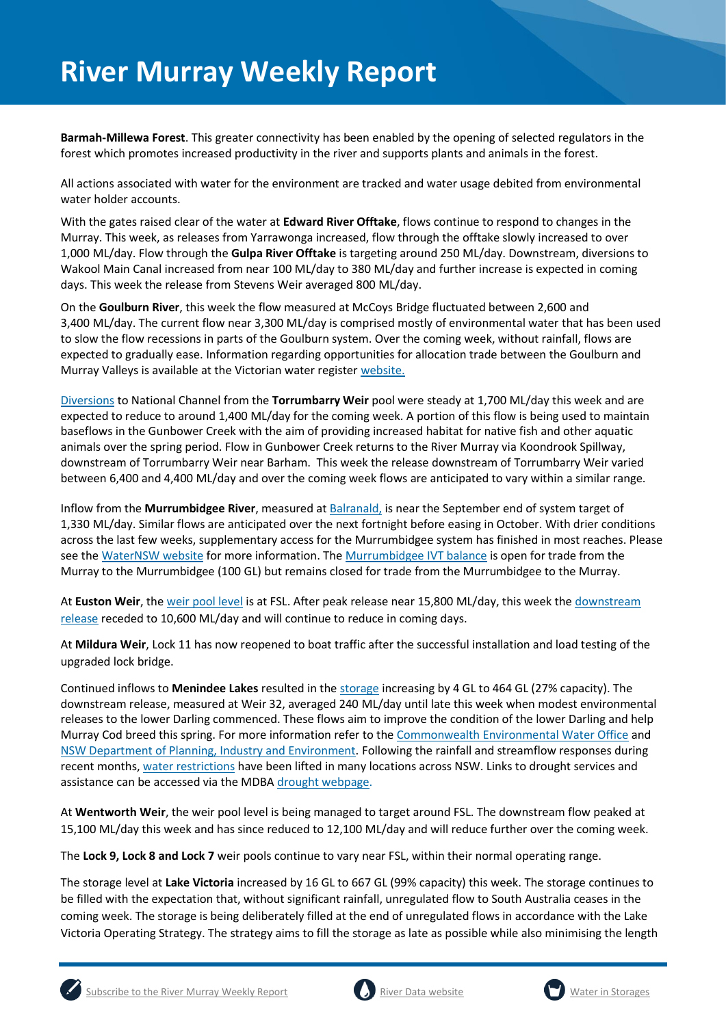**Barmah-Millewa Forest**. This greater connectivity has been enabled by the opening of selected regulators in the forest which promotes increased productivity in the river and supports plants and animals in the forest.

All actions associated with water for the environment are tracked and water usage debited from environmental water holder accounts.

With the gates raised clear of the water at **Edward River Offtake**, flows continue to respond to changes in the Murray. This week, as releases from Yarrawonga increased, flow through the offtake slowly increased to over 1,000 ML/day. Flow through the **Gulpa River Offtake** is targeting around 250 ML/day. Downstream, diversions to Wakool Main Canal increased from near 100 ML/day to 380 ML/day and further increase is expected in coming days. This week the release from Stevens Weir averaged 800 ML/day.

On the **Goulburn River**, this week the flow measured at McCoys Bridge fluctuated between 2,600 and 3,400 ML/day. The current flow near 3,300 ML/day is comprised mostly of environmental water that has been used to slow the flow recessions in parts of the Goulburn system. Over the coming week, without rainfall, flows are expected to gradually ease. Information regarding opportunities for allocation trade between the Goulburn and Murray Valleys is available at the Victorian water register [website.](http://waterregister.vic.gov.au/water-trading/allocation-trading#AllocationTradeOpportunities)

[Diversions](https://riverdata.mdba.gov.au/national-channel-ds-torrumbarry-headworks) to National Channel from the **Torrumbarry Weir** pool were steady at 1,700 ML/day this week and are expected to reduce to around 1,400 ML/day for the coming week. A portion of this flow is being used to maintain baseflows in the Gunbower Creek with the aim of providing increased habitat for native fish and other aquatic animals over the spring period. Flow in Gunbower Creek returns to the River Murray via Koondrook Spillway, downstream of Torrumbarry Weir near Barham. This week the release downstream of Torrumbarry Weir varied between 6,400 and 4,400 ML/day and over the coming week flows are anticipated to vary within a similar range.

Inflow from the **Murrumbidgee River**, measured a[t Balranald,](https://riverdata.mdba.gov.au/balranald-weir-downstream) is near the September end of system target of 1,330 ML/day. Similar flows are anticipated over the next fortnight before easing in October. With drier conditions across the last few weeks, supplementary access for the Murrumbidgee system has finished in most reaches. Please see the [WaterNSW website](https://www.waternsw.com.au/supply/regional-nsw/supplementary) for more information. The [Murrumbidgee IVT balance](https://www.waternsw.com.au/customer-service/ordering-trading-and-pricing/trading/murrumbidgee) is open for trade from the Murray to the Murrumbidgee (100 GL) but remains closed for trade from the Murrumbidgee to the Murray.

At **Euston Weir**, th[e weir pool level](https://riverdata.mdba.gov.au/euston-weir-upstream) is at FSL. After peak release near 15,800 ML/day, this week th[e downstream](https://riverdata.mdba.gov.au/euston-weir-downstream)  [release](https://riverdata.mdba.gov.au/euston-weir-downstream) receded to 10,600 ML/day and will continue to reduce in coming days.

At **Mildura Weir**, Lock 11 has now reopened to boat traffic after the successful installation and load testing of the upgraded lock bridge.

Continued inflows to **Menindee Lakes** resulted in th[e storage](https://riverdata.mdba.gov.au/menindee-lakes-combined-storage) increasing by 4 GL to 464 GL (27% capacity). The downstream release, measured at Weir 32, averaged 240 ML/day until late this week when modest environmental releases to the lower Darling commenced. These flows aim to improve the condition of the lower Darling and help Murray Cod breed this spring. For more information refer to th[e Commonwealth Environmental Water Office](https://www.environment.gov.au/cewo/media-release/lower-darling-baaka-flows-boosted) and [NSW Department of Planning, Industry and Environment.](https://www.environment.nsw.gov.au/news/spring-flow-for-fish-in-the-lower-darling-baaka-river) Following the rainfall and streamflow responses during recent months, [water restrictions](https://www.industry.nsw.gov.au/water/allocations-availability/temporary-water-restrictions) have been lifted in many locations across NSW. Links to drought services and assistance can be accessed via the MDBA [drought webpage.](https://www.mdba.gov.au/managing-water/drought-murray-darling-basin)

At **Wentworth Weir**, the weir pool level is being managed to target around FSL. The downstream flow peaked at 15,100 ML/day this week and has since reduced to 12,100 ML/day and will reduce further over the coming week.

The **Lock 9, Lock 8 and Lock 7** weir pools continue to vary near FSL, within their normal operating range.

The storage level at **Lake Victoria** increased by 16 GL to 667 GL (99% capacity) this week. The storage continues to be filled with the expectation that, without significant rainfall, unregulated flow to South Australia ceases in the coming week. The storage is being deliberately filled at the end of unregulated flows in accordance with the Lake Victoria Operating Strategy. The strategy aims to fill the storage as late as possible while also minimising the length





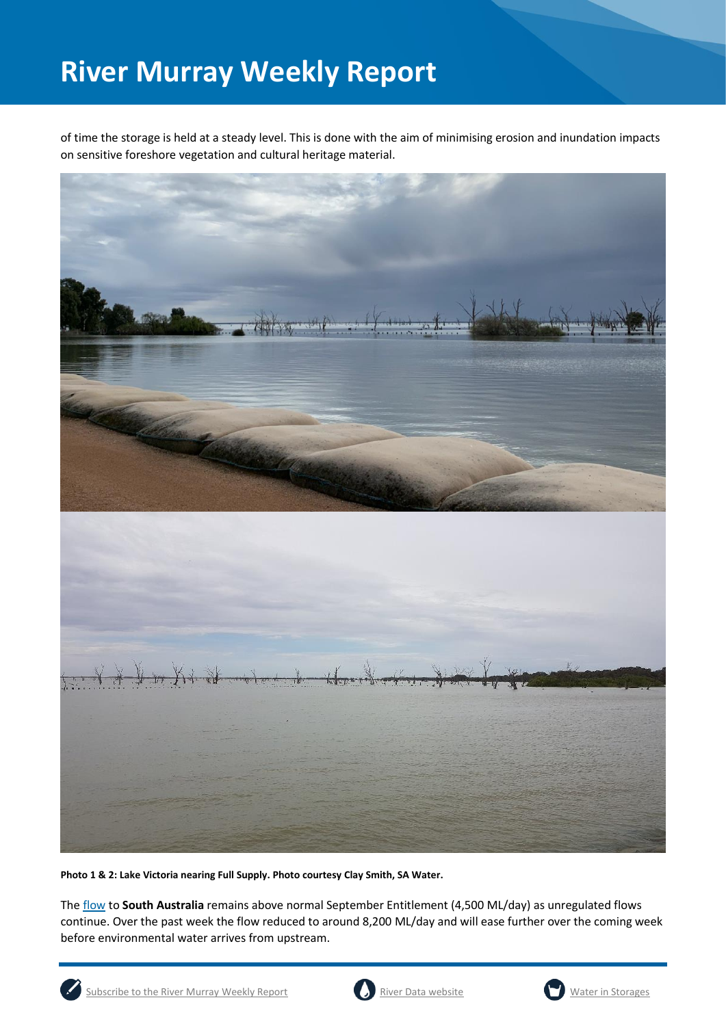of time the storage is held at a steady level. This is done with the aim of minimising erosion and inundation impacts on sensitive foreshore vegetation and cultural heritage material.



**Photo 1 & 2: Lake Victoria nearing Full Supply. Photo courtesy Clay Smith, SA Water.**

The [flow](https://riverdata.mdba.gov.au/flow-south-australia-calculated) to **South Australia** remains above normal September Entitlement (4,500 ML/day) as unregulated flows continue. Over the past week the flow reduced to around 8,200 ML/day and will ease further over the coming week before environmental water arrives from upstream.





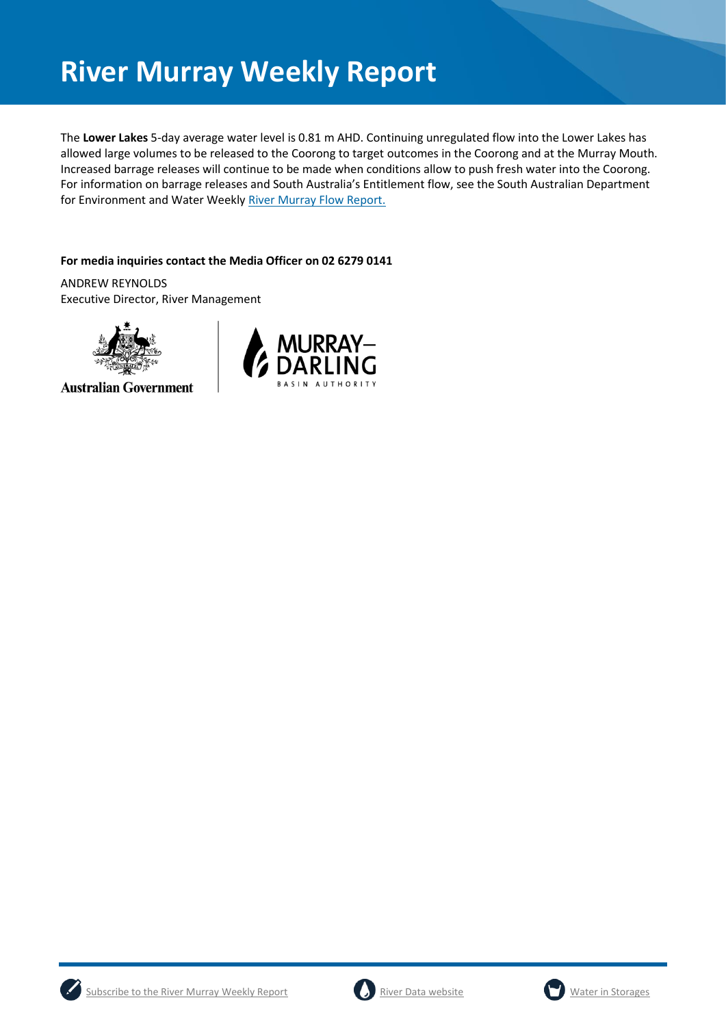The **Lower Lakes** 5-day average water level is 0.81 m AHD. Continuing unregulated flow into the Lower Lakes has allowed large volumes to be released to the Coorong to target outcomes in the Coorong and at the Murray Mouth. Increased barrage releases will continue to be made when conditions allow to push fresh water into the Coorong. For information on barrage releases and South Australia's Entitlement flow, see the South Australian Department for Environment and Water Weekl[y River Murray Flow Report.](https://www.environment.sa.gov.au/topics/river-murray/flow-reports)

#### **For media inquiries contact the Media Officer on 02 6279 0141**

ANDREW REYNOLDS Executive Director, River Management



**Australian Government** 







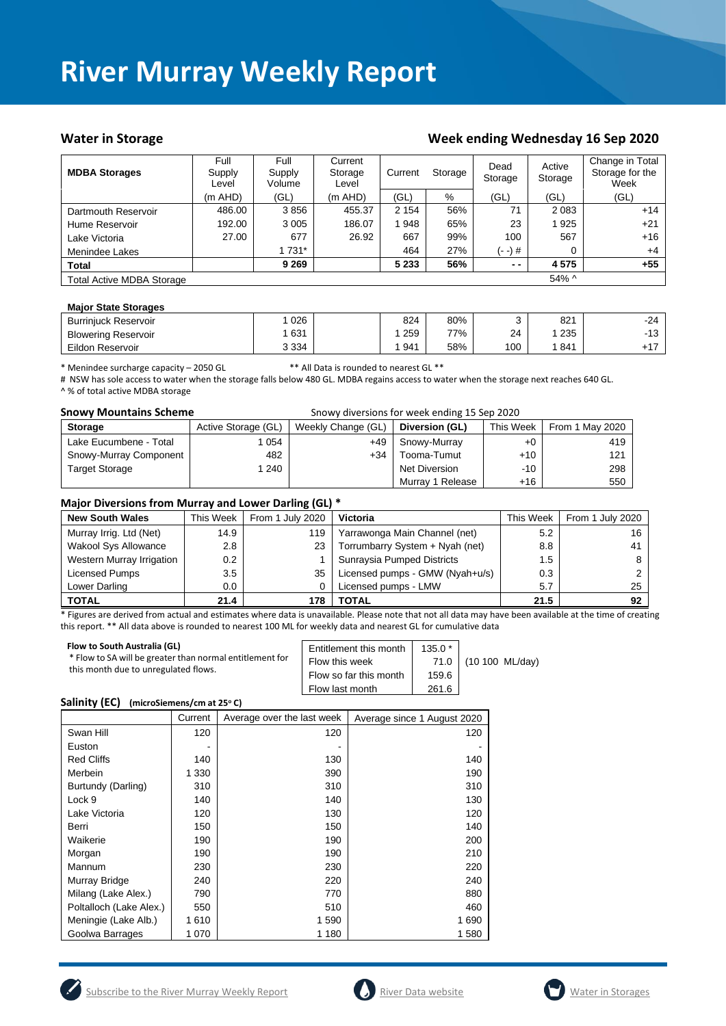#### Water in Storage Water in Storage Week ending Wednesday 16 Sep 2020

| <b>MDBA Storages</b>             | Full<br>Supply<br>Level | Full<br>Supply<br>Volume | Current<br>Storage<br>Level | Current | Storage | Dead<br>Storage | Active<br>Storage | Change in Total<br>Storage for the<br>Week |
|----------------------------------|-------------------------|--------------------------|-----------------------------|---------|---------|-----------------|-------------------|--------------------------------------------|
|                                  | $(m$ AHD)               | (GL)                     | $(m$ AHD)                   | (GL)    | %       | (GL)            | (GL)              | (GL)                                       |
| Dartmouth Reservoir              | 486.00                  | 3856                     | 455.37                      | 2 1 5 4 | 56%     | 71              | 2 0 8 3           | $+14$                                      |
| Hume Reservoir                   | 192.00                  | 3 0 0 5                  | 186.07                      | 948     | 65%     | 23              | 1925              | $+21$                                      |
| Lake Victoria                    | 27.00                   | 677                      | 26.92                       | 667     | 99%     | 100             | 567               | $+16$                                      |
| Menindee Lakes                   |                         | 1 731*                   |                             | 464     | 27%     | (- -) #         | 0                 | $+4$                                       |
| <b>Total</b>                     |                         | 9 2 6 9                  |                             | 5 2 3 3 | 56%     | $ -$            | 4575              | $+55$                                      |
| <b>Total Active MDBA Storage</b> |                         |                          |                             |         |         |                 | $54\%$ ^          |                                            |

#### **Major State Storages**

| <b>Burriniuck Reservoir</b> | 026     | 824 | 80% |     | 821 | $-24$      |
|-----------------------------|---------|-----|-----|-----|-----|------------|
| <b>Blowering Reservoir</b>  | 631     | 259 | 77% | 24  | 235 | 10<br>- 13 |
| Eildon Reservoir            | 3 3 3 4 | 941 | 58% | 100 | 841 |            |

\* Menindee surcharge capacity – 2050 GL \*\* All Data is rounded to nearest GL \*\*

# NSW has sole access to water when the storage falls below 480 GL. MDBA regains access to water when the storage next reaches 640 GL. ^ % of total active MDBA storage

| <b>Snowy Mountains Scheme</b> | Snowy diversions for week ending 15 Sep 2020 |                    |                      |           |                 |
|-------------------------------|----------------------------------------------|--------------------|----------------------|-----------|-----------------|
| <b>Storage</b>                | Active Storage (GL)                          | Weekly Change (GL) | Diversion (GL)       | This Week | From 1 May 2020 |
| Lake Eucumbene - Total        | 054                                          | +49                | Snowy-Murray         | $+0$      | 419             |
| Snowy-Murray Component        | 482                                          | $+34$              | Tooma-Tumut          | $+10$     | 121             |
| <b>Target Storage</b>         | 1 240                                        |                    | <b>Net Diversion</b> | $-10$     | 298             |
|                               |                                              |                    | Murray 1 Release     | +16       | 550             |

#### **Major Diversions from Murray and Lower Darling (GL) \***

| <b>New South Wales</b>    | This Week | From 1 July 2020 | Victoria                        | This Week | From 1 July 2020 |
|---------------------------|-----------|------------------|---------------------------------|-----------|------------------|
| Murray Irrig. Ltd (Net)   | 14.9      | 119              | Yarrawonga Main Channel (net)   | 5.2       | 16               |
| Wakool Sys Allowance      | 2.8       | 23               | Torrumbarry System + Nyah (net) | 8.8       | 41               |
| Western Murray Irrigation | $0.2\,$   |                  | Sunraysia Pumped Districts      | 1.5       |                  |
| Licensed Pumps            | 3.5       | 35               | Licensed pumps - GMW (Nyah+u/s) | 0.3       |                  |
| Lower Darling             | $0.0\,$   |                  | Licensed pumps - LMW            | 5.7       | 25               |
| <b>TOTAL</b>              | 21.4      | 178              | TOTAL                           | 21.5      | 92               |

\* Figures are derived from actual and estimates where data is unavailable. Please note that not all data may have been available at the time of creating this report. \*\* All data above is rounded to nearest 100 ML for weekly data and nearest GL for cumulative data

| Flow to South Australia (GL)<br>* Flow to SA will be greater than normal entitlement for<br>this month due to unregulated flows. | Entitlement this month<br>Flow this week<br>Flow so far this month<br>Flow last month | $135.0*$<br>71.0<br>159.6<br>261.6 | (10 100 ML/day) |
|----------------------------------------------------------------------------------------------------------------------------------|---------------------------------------------------------------------------------------|------------------------------------|-----------------|
|                                                                                                                                  |                                                                                       |                                    |                 |

#### **Salinity (EC) (microSiemens/cm at 25<sup>o</sup> C)**

|                         | Current | Average over the last week | Average since 1 August 2020 |
|-------------------------|---------|----------------------------|-----------------------------|
| Swan Hill               | 120     | 120                        | 120                         |
| Euston                  |         |                            |                             |
| <b>Red Cliffs</b>       | 140     | 130                        | 140                         |
| Merbein                 | 1 330   | 390                        | 190                         |
| Burtundy (Darling)      | 310     | 310                        | 310                         |
| Lock 9                  | 140     | 140                        | 130                         |
| Lake Victoria           | 120     | 130                        | 120                         |
| Berri                   | 150     | 150                        | 140                         |
| Waikerie                | 190     | 190                        | 200                         |
| Morgan                  | 190     | 190                        | 210                         |
| Mannum                  | 230     | 230                        | 220                         |
| Murray Bridge           | 240     | 220                        | 240                         |
| Milang (Lake Alex.)     | 790     | 770                        | 880                         |
| Poltalloch (Lake Alex.) | 550     | 510                        | 460                         |
| Meningie (Lake Alb.)    | 1 610   | 1 590                      | 1690                        |
| Goolwa Barrages         | 1070    | 1 180                      | 1 580                       |





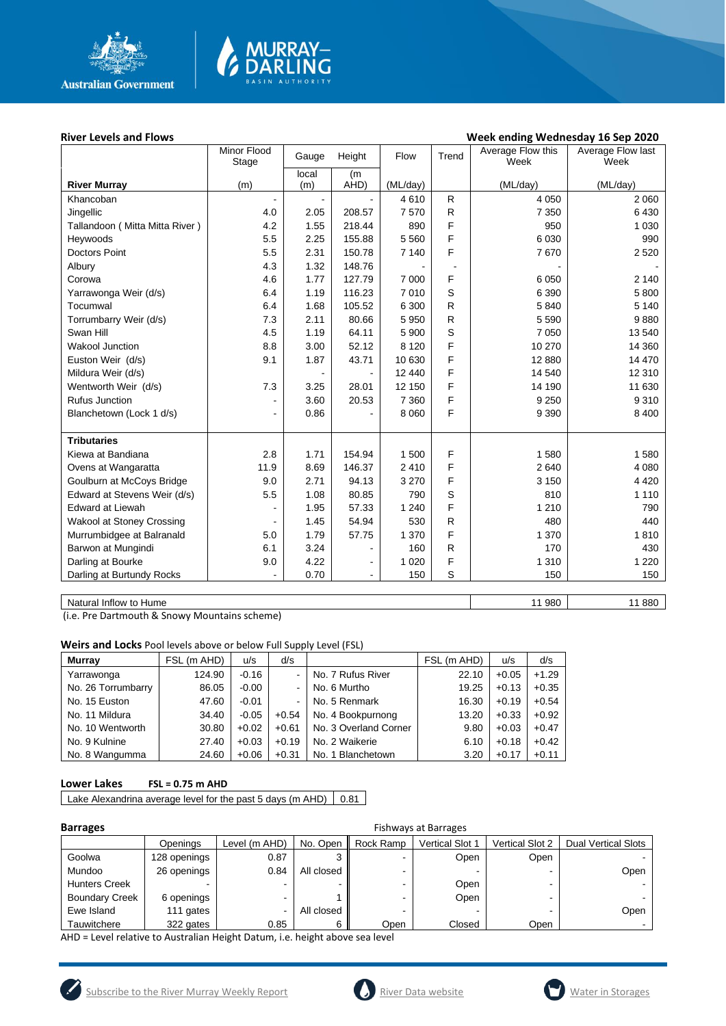

# **MURRAY-<br>DARLING**

#### River Levels and Flows **River Levels and Flows Week ending Wednesday 16 Sep 2020**

|                                  | Minor Flood<br>Stage     | Gauge | Height         | Flow     | Trend        | Average Flow this<br>Week | Average Flow last<br>Week |
|----------------------------------|--------------------------|-------|----------------|----------|--------------|---------------------------|---------------------------|
|                                  |                          | local | (m)            |          |              |                           |                           |
| <b>River Murray</b>              | (m)                      | (m)   | AHD)           | (ML/day) |              | (ML/day)                  | (ML/day)                  |
| Khancoban                        |                          |       |                | 4610     | R            | 4 0 5 0                   | 2 0 6 0                   |
| Jingellic                        | 4.0                      | 2.05  | 208.57         | 7570     | $\mathsf{R}$ | 7 3 5 0                   | 6430                      |
| Tallandoon (Mitta Mitta River)   | 4.2                      | 1.55  | 218.44         | 890      | F            | 950                       | 1 0 3 0                   |
| Heywoods                         | 5.5                      | 2.25  | 155.88         | 5 5 6 0  | F            | 6 0 30                    | 990                       |
| <b>Doctors Point</b>             | 5.5                      | 2.31  | 150.78         | 7 140    | F            | 7670                      | 2 5 2 0                   |
| Albury                           | 4.3                      | 1.32  | 148.76         |          |              |                           |                           |
| Corowa                           | 4.6                      | 1.77  | 127.79         | 7 0 0 0  | F            | 6 0 5 0                   | 2 140                     |
| Yarrawonga Weir (d/s)            | 6.4                      | 1.19  | 116.23         | 7010     | S            | 6 3 9 0                   | 5 800                     |
| Tocumwal                         | 6.4                      | 1.68  | 105.52         | 6 300    | ${\sf R}$    | 5840                      | 5 1 4 0                   |
| Torrumbarry Weir (d/s)           | 7.3                      | 2.11  | 80.66          | 5 9 5 0  | ${\sf R}$    | 5 5 9 0                   | 9880                      |
| Swan Hill                        | 4.5                      | 1.19  | 64.11          | 5 900    | S            | 7 0 5 0                   | 13 540                    |
| <b>Wakool Junction</b>           | 8.8                      | 3.00  | 52.12          | 8 1 2 0  | F            | 10 270                    | 14 360                    |
| Euston Weir (d/s)                | 9.1                      | 1.87  | 43.71          | 10 630   | F            | 12 880                    | 14 470                    |
| Mildura Weir (d/s)               |                          |       |                | 12 440   | F            | 14 540                    | 12 310                    |
| Wentworth Weir (d/s)             | 7.3                      | 3.25  | 28.01          | 12 150   | F            | 14 190                    | 11 630                    |
| <b>Rufus Junction</b>            | $\overline{\phantom{a}}$ | 3.60  | 20.53          | 7 3 6 0  | F            | 9 2 5 0                   | 9310                      |
| Blanchetown (Lock 1 d/s)         | $\overline{\phantom{a}}$ | 0.86  |                | 8 0 6 0  | F            | 9 3 9 0                   | 8 4 0 0                   |
|                                  |                          |       |                |          |              |                           |                           |
| <b>Tributaries</b>               |                          |       |                |          |              |                           |                           |
| Kiewa at Bandiana                | 2.8                      | 1.71  | 154.94         | 1 500    | F            | 1580                      | 1580                      |
| Ovens at Wangaratta              | 11.9                     | 8.69  | 146.37         | 2410     | F            | 2 6 4 0                   | 4 0 8 0                   |
| Goulburn at McCoys Bridge        | 9.0                      | 2.71  | 94.13          | 3 2 7 0  | F            | 3 1 5 0                   | 4 4 2 0                   |
| Edward at Stevens Weir (d/s)     | 5.5                      | 1.08  | 80.85          | 790      | S            | 810                       | 1 1 1 0                   |
| <b>Edward at Liewah</b>          |                          | 1.95  | 57.33          | 1 2 4 0  | F            | 1 2 1 0                   | 790                       |
| <b>Wakool at Stoney Crossing</b> |                          | 1.45  | 54.94          | 530      | R            | 480                       | 440                       |
| Murrumbidgee at Balranald        | 5.0                      | 1.79  | 57.75          | 1 370    | F            | 1 370                     | 1810                      |
| Barwon at Mungindi               | 6.1                      | 3.24  | -              | 160      | $\mathsf{R}$ | 170                       | 430                       |
| Darling at Bourke                | 9.0                      | 4.22  | $\blacksquare$ | 1 0 2 0  | F            | 1 3 1 0                   | 1 2 2 0                   |
| Darling at Burtundy Rocks        |                          | 0.70  | $\blacksquare$ | 150      | S            | 150                       | 150                       |
|                                  |                          |       |                |          |              |                           |                           |

Natural Inflow to Hume 11 880

(i.e. Pre Dartmouth & Snowy Mountains scheme)

**Weirs and Locks** Pool levels above or below Full Supply Level (FSL)

| <b>Murray</b>      | FSL (m AHD) | u/s     | d/s     |                       | FSL (m AHD) | u/s     | d/s     |
|--------------------|-------------|---------|---------|-----------------------|-------------|---------|---------|
| Yarrawonga         | 124.90      | $-0.16$ |         | No. 7 Rufus River     | 22.10       | $+0.05$ | $+1.29$ |
| No. 26 Torrumbarry | 86.05       | $-0.00$ |         | No. 6 Murtho          | 19.25       | $+0.13$ | $+0.35$ |
| No. 15 Euston      | 47.60       | $-0.01$ |         | No. 5 Renmark         | 16.30       | $+0.19$ | $+0.54$ |
| No. 11 Mildura     | 34.40       | $-0.05$ | $+0.54$ | No. 4 Bookpurnong     | 13.20       | $+0.33$ | $+0.92$ |
| No. 10 Wentworth   | 30.80       | $+0.02$ | $+0.61$ | No. 3 Overland Corner | 9.80        | $+0.03$ | $+0.47$ |
| No. 9 Kulnine      | 27.40       | $+0.03$ | $+0.19$ | No. 2 Waikerie        | 6.10        | $+0.18$ | $+0.42$ |
| No. 8 Wangumma     | 24.60       | $+0.06$ | $+0.31$ | No. 1 Blanchetown     | 3.20        | $+0.17$ | $+0.11$ |

#### **Lower Lakes FSL = 0.75 m AHD**

Lake Alexandrina average level for the past 5 days (m AHD)  $\vert$  0.81

| <b>Barrages</b>       | <b>Fishways at Barrages</b> |               |            |           |                        |                        |                            |  |
|-----------------------|-----------------------------|---------------|------------|-----------|------------------------|------------------------|----------------------------|--|
|                       | Openings                    | Level (m AHD) | No. Open   | Rock Ramp | <b>Vertical Slot 1</b> | <b>Vertical Slot 2</b> | <b>Dual Vertical Slots</b> |  |
| Goolwa                | 128 openings                | 0.87          |            |           | Open                   | Open                   |                            |  |
| Mundoo                | 26 openings                 | 0.84          | All closed |           |                        |                        | Open                       |  |
| <b>Hunters Creek</b>  |                             |               |            |           | Open                   | -                      |                            |  |
| <b>Boundary Creek</b> | 6 openings                  | -             |            | -         | Open                   | -                      |                            |  |
| Ewe Island            | 111 gates                   | -             | All closed |           |                        |                        | Open                       |  |
| Tauwitchere           | 322 gates                   | 0.85          | 6          | Open      | Closed                 | Open                   |                            |  |

AHD = Level relative to Australian Height Datum, i.e. height above sea level